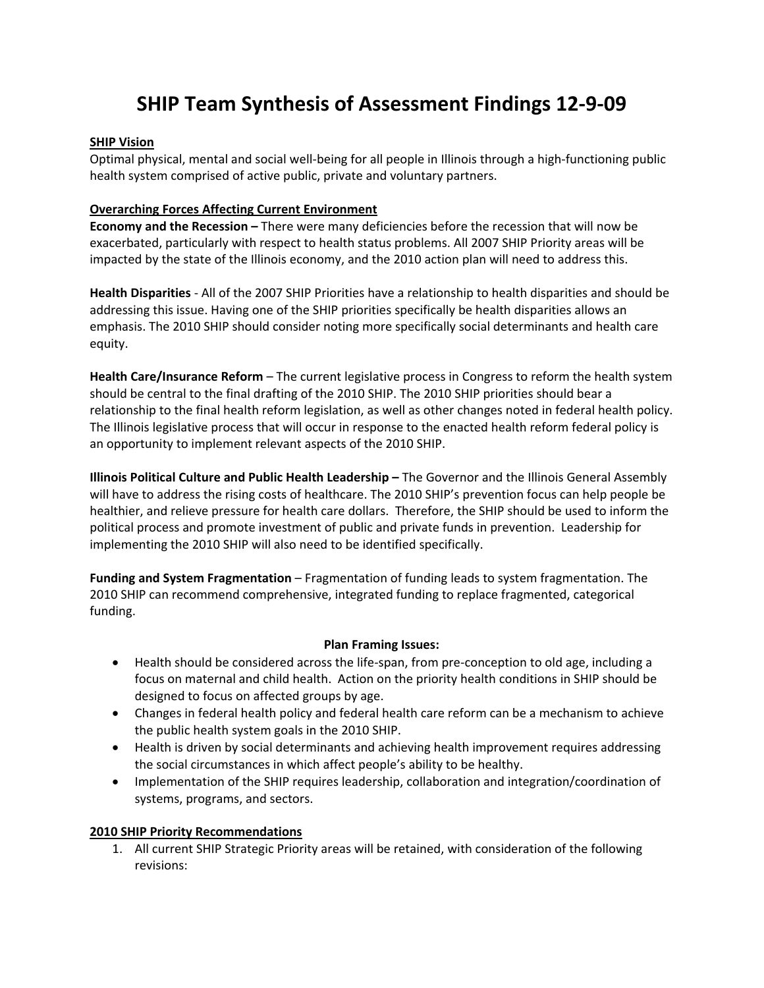# **SHIP Team Synthesis of Assessment Findings 12‐9‐09**

#### **SHIP Vision**

Optimal physical, mental and social well‐being for all people in Illinois through a high‐functioning public health system comprised of active public, private and voluntary partners.

### **Overarching Forces Affecting Current Environment**

**Economy and the Recession –** There were many deficiencies before the recession that will now be exacerbated, particularly with respect to health status problems. All 2007 SHIP Priority areas will be impacted by the state of the Illinois economy, and the 2010 action plan will need to address this.

**Health Disparities** ‐ All of the 2007 SHIP Priorities have a relationship to health disparities and should be addressing this issue. Having one of the SHIP priorities specifically be health disparities allows an emphasis. The 2010 SHIP should consider noting more specifically social determinants and health care equity.

**Health Care/Insurance Reform** – The current legislative process in Congress to reform the health system should be central to the final drafting of the 2010 SHIP. The 2010 SHIP priorities should bear a relationship to the final health reform legislation, as well as other changes noted in federal health policy. The Illinois legislative process that will occur in response to the enacted health reform federal policy is an opportunity to implement relevant aspects of the 2010 SHIP.

**Illinois Political Culture and Public Health Leadership –** The Governor and the Illinois General Assembly will have to address the rising costs of healthcare. The 2010 SHIP's prevention focus can help people be healthier, and relieve pressure for health care dollars. Therefore, the SHIP should be used to inform the political process and promote investment of public and private funds in prevention. Leadership for implementing the 2010 SHIP will also need to be identified specifically.

**Funding and System Fragmentation** – Fragmentation of funding leads to system fragmentation. The 2010 SHIP can recommend comprehensive, integrated funding to replace fragmented, categorical funding.

#### **Plan Framing Issues:**

- Health should be considered across the life-span, from pre-conception to old age, including a focus on maternal and child health. Action on the priority health conditions in SHIP should be designed to focus on affected groups by age.
- Changes in federal health policy and federal health care reform can be a mechanism to achieve the public health system goals in the 2010 SHIP.
- Health is driven by social determinants and achieving health improvement requires addressing the social circumstances in which affect people's ability to be healthy.
- Implementation of the SHIP requires leadership, collaboration and integration/coordination of systems, programs, and sectors.

#### **2010 SHIP Priority Recommendations**

1. All current SHIP Strategic Priority areas will be retained, with consideration of the following revisions: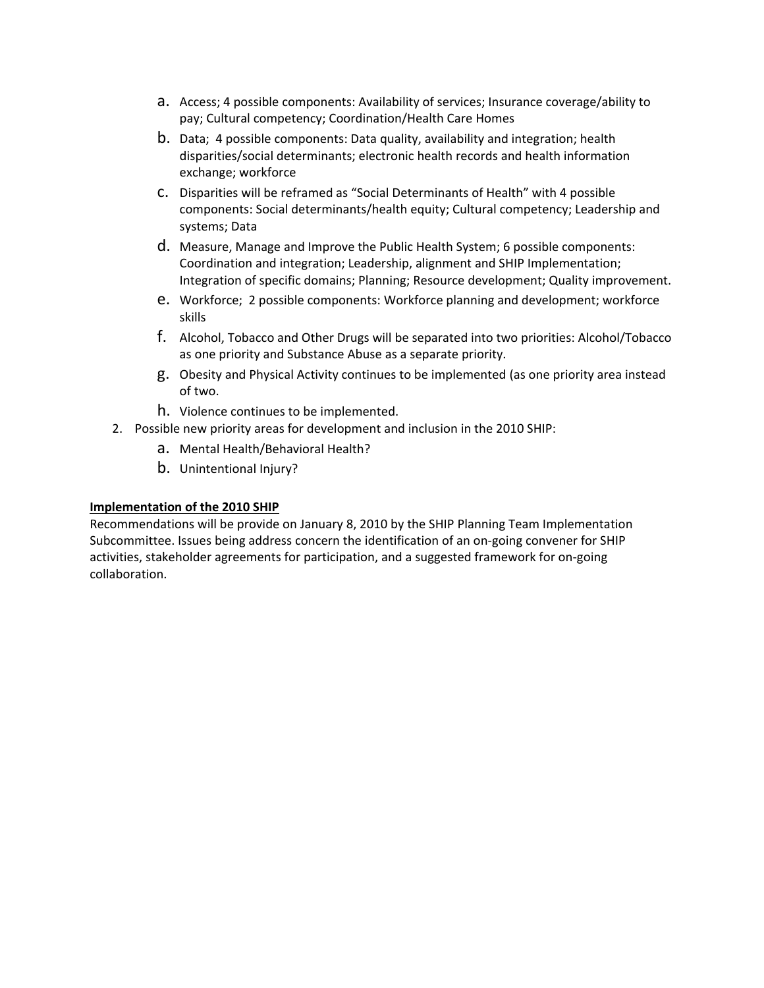- a. Access; 4 possible components: Availability of services; Insurance coverage/ability to pay; Cultural competency; Coordination/Health Care Homes
- b. Data; 4 possible components: Data quality, availability and integration; health disparities/social determinants; electronic health records and health information exchange; workforce
- c. Disparities will be reframed as "Social Determinants of Health" with 4 possible components: Social determinants/health equity; Cultural competency; Leadership and systems; Data
- d. Measure, Manage and Improve the Public Health System; 6 possible components: Coordination and integration; Leadership, alignment and SHIP Implementation; Integration of specific domains; Planning; Resource development; Quality improvement.
- e. Workforce; 2 possible components: Workforce planning and development; workforce skills
- f. Alcohol, Tobacco and Other Drugs will be separated into two priorities: Alcohol/Tobacco as one priority and Substance Abuse as a separate priority.
- g. Obesity and Physical Activity continues to be implemented (as one priority area instead of two.
- h. Violence continues to be implemented.
- 2. Possible new priority areas for development and inclusion in the 2010 SHIP:
	- a. Mental Health/Behavioral Health?
	- b. Unintentional Injury?

#### **Implementation of the 2010 SHIP**

Recommendations will be provide on January 8, 2010 by the SHIP Planning Team Implementation Subcommittee. Issues being address concern the identification of an on‐going convener for SHIP activities, stakeholder agreements for participation, and a suggested framework for on‐going collaboration.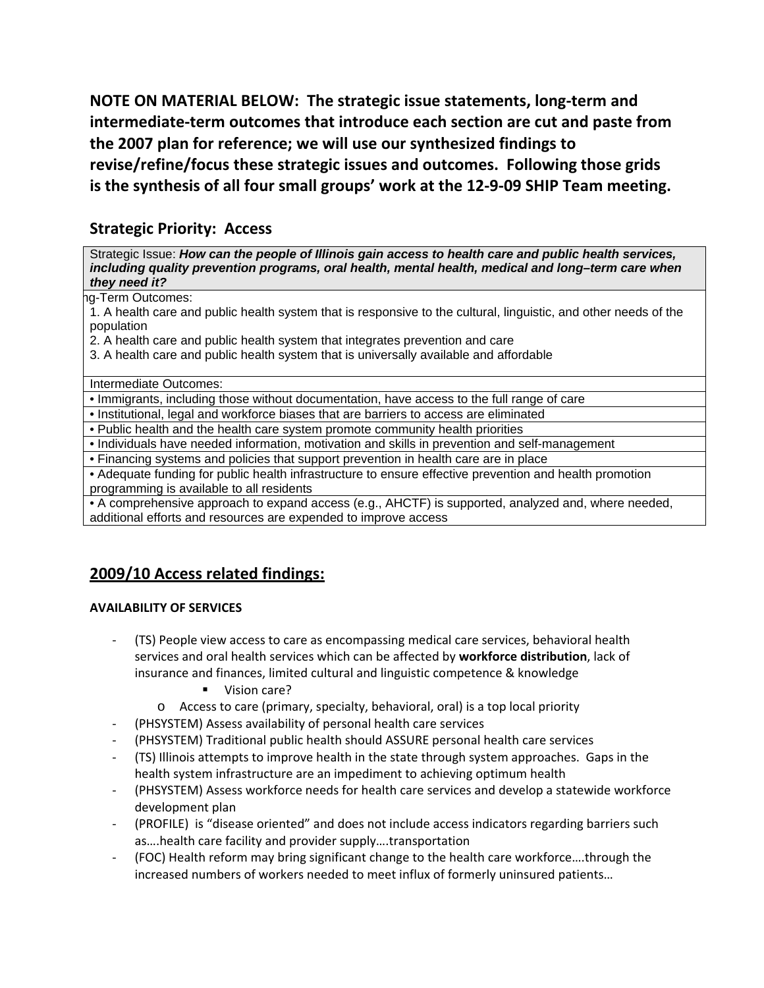**NOTE ON MATERIAL BELOW: The strategic issue statements, long‐term and intermediate‐term outcomes that introduce each section are cut and paste from the 2007 plan for reference; we will use our synthesized findings to revise/refine/focus these strategic issues and outcomes. Following those grids is the synthesis of all four small groups' work at the 12‐9‐09 SHIP Team meeting.**

# **Strategic Priority: Access**

Strategic Issue: *How can the people of Illinois gain access to health care and public health services, including quality prevention programs, oral health, mental health, medical and long–term care when they need it?* 

#### ng-Term Outcomes:

1. A health care and public health system that is responsive to the cultural, linguistic, and other needs of the population

2. A health care and public health system that integrates prevention and care

3. A health care and public health system that is universally available and affordable

Intermediate Outcomes:

• Immigrants, including those without documentation, have access to the full range of care

• Institutional, legal and workforce biases that are barriers to access are eliminated

• Public health and the health care system promote community health priorities

• Individuals have needed information, motivation and skills in prevention and self-management

• Financing systems and policies that support prevention in health care are in place

• Adequate funding for public health infrastructure to ensure effective prevention and health promotion programming is available to all residents

• A comprehensive approach to expand access (e.g., AHCTF) is supported, analyzed and, where needed, additional efforts and resources are expended to improve access

# **2009/10 Access related findings:**

#### **AVAILABILITY OF SERVICES**

- ‐ (TS) People view access to care as encompassing medical care services, behavioral health services and oral health services which can be affected by **workforce distribution**, lack of insurance and finances, limited cultural and linguistic competence & knowledge
	- Vision care?
	- o Access to care (primary, specialty, behavioral, oral) is a top local priority
- ‐ (PHSYSTEM) Assess availability of personal health care services
- ‐ (PHSYSTEM) Traditional public health should ASSURE personal health care services
- ‐ (TS) Illinois attempts to improve health in the state through system approaches. Gaps in the health system infrastructure are an impediment to achieving optimum health
- ‐ (PHSYSTEM) Assess workforce needs for health care services and develop a statewide workforce development plan
- ‐ (PROFILE) is "disease oriented" and does not include access indicators regarding barriers such as….health care facility and provider supply….transportation
- ‐ (FOC) Health reform may bring significant change to the health care workforce….through the increased numbers of workers needed to meet influx of formerly uninsured patients…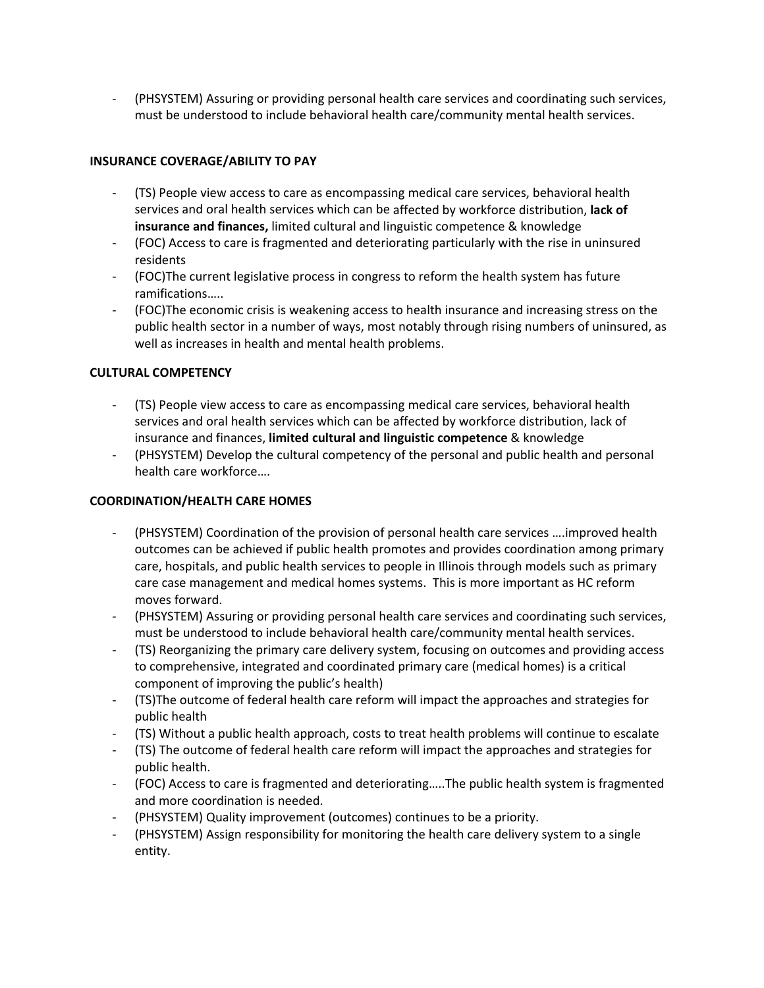‐ (PHSYSTEM) Assuring or providing personal health care services and coordinating such services, must be understood to include behavioral health care/community mental health services.

### **INSURANCE COVERAGE/ABILITY TO PAY**

- ‐ (TS) People view access to care as encompassing medical care services, behavioral health services and oral health services which can be affected by workforce distribution, **lack of insurance and finances,** limited cultural and linguistic competence & knowledge
- ‐ (FOC) Access to care is fragmented and deteriorating particularly with the rise in uninsured residents
- ‐ (FOC)The current legislative process in congress to reform the health system has future ramifications…..
- ‐ (FOC)The economic crisis is weakening access to health insurance and increasing stress on the public health sector in a number of ways, most notably through rising numbers of uninsured, as well as increases in health and mental health problems.

### **CULTURAL COMPETENCY**

- ‐ (TS) People view access to care as encompassing medical care services, behavioral health services and oral health services which can be affected by workforce distribution, lack of insurance and finances, **limited cultural and linguistic competence** & knowledge
- ‐ (PHSYSTEM) Develop the cultural competency of the personal and public health and personal health care workforce….

### **COORDINATION/HEALTH CARE HOMES**

- ‐ (PHSYSTEM) Coordination of the provision of personal health care services ….improved health outcomes can be achieved if public health promotes and provides coordination among primary care, hospitals, and public health services to people in Illinois through models such as primary care case management and medical homes systems. This is more important as HC reform moves forward.
- ‐ (PHSYSTEM) Assuring or providing personal health care services and coordinating such services, must be understood to include behavioral health care/community mental health services.
- ‐ (TS) Reorganizing the primary care delivery system, focusing on outcomes and providing access to comprehensive, integrated and coordinated primary care (medical homes) is a critical component of improving the public's health)
- ‐ (TS)The outcome of federal health care reform will impact the approaches and strategies for public health
- ‐ (TS) Without a public health approach, costs to treat health problems will continue to escalate
- ‐ (TS) The outcome of federal health care reform will impact the approaches and strategies for public health.
- ‐ (FOC) Access to care is fragmented and deteriorating…..The public health system is fragmented and more coordination is needed.
- ‐ (PHSYSTEM) Quality improvement (outcomes) continues to be a priority.
- ‐ (PHSYSTEM) Assign responsibility for monitoring the health care delivery system to a single entity.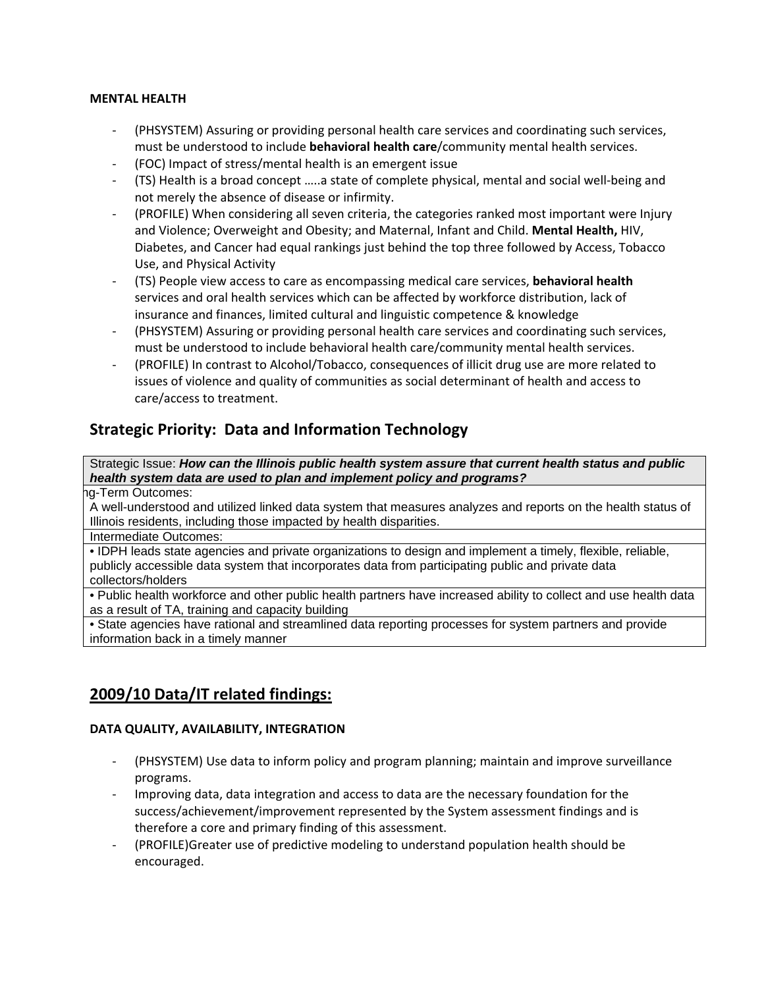#### **MENTAL HEALTH**

- ‐ (PHSYSTEM) Assuring or providing personal health care services and coordinating such services, must be understood to include **behavioral health care**/community mental health services.
- ‐ (FOC) Impact of stress/mental health is an emergent issue
- ‐ (TS) Health is a broad concept …..a state of complete physical, mental and social well‐being and not merely the absence of disease or infirmity.
- ‐ (PROFILE) When considering all seven criteria, the categories ranked most important were Injury and Violence; Overweight and Obesity; and Maternal, Infant and Child. **Mental Health,** HIV, Diabetes, and Cancer had equal rankings just behind the top three followed by Access, Tobacco Use, and Physical Activity
- ‐ (TS) People view access to care as encompassing medical care services, **behavioral health** services and oral health services which can be affected by workforce distribution, lack of insurance and finances, limited cultural and linguistic competence & knowledge
- ‐ (PHSYSTEM) Assuring or providing personal health care services and coordinating such services, must be understood to include behavioral health care/community mental health services.
- ‐ (PROFILE) In contrast to Alcohol/Tobacco, consequences of illicit drug use are more related to issues of violence and quality of communities as social determinant of health and access to care/access to treatment.

# **Strategic Priority: Data and Information Technology**

Strategic Issue: *How can the Illinois public health system assure that current health status and public health system data are used to plan and implement policy and programs?* 

ng-Term Outcomes:

A well-understood and utilized linked data system that measures analyzes and reports on the health status of Illinois residents, including those impacted by health disparities.

Intermediate Outcomes:

• IDPH leads state agencies and private organizations to design and implement a timely, flexible, reliable, publicly accessible data system that incorporates data from participating public and private data collectors/holders

• Public health workforce and other public health partners have increased ability to collect and use health data as a result of TA, training and capacity building

• State agencies have rational and streamlined data reporting processes for system partners and provide information back in a timely manner

# **2009/10 Data/IT related findings:**

#### **DATA QUALITY, AVAILABILITY, INTEGRATION**

- ‐ (PHSYSTEM) Use data to inform policy and program planning; maintain and improve surveillance programs.
- ‐ Improving data, data integration and access to data are the necessary foundation for the success/achievement/improvement represented by the System assessment findings and is therefore a core and primary finding of this assessment.
- ‐ (PROFILE)Greater use of predictive modeling to understand population health should be encouraged.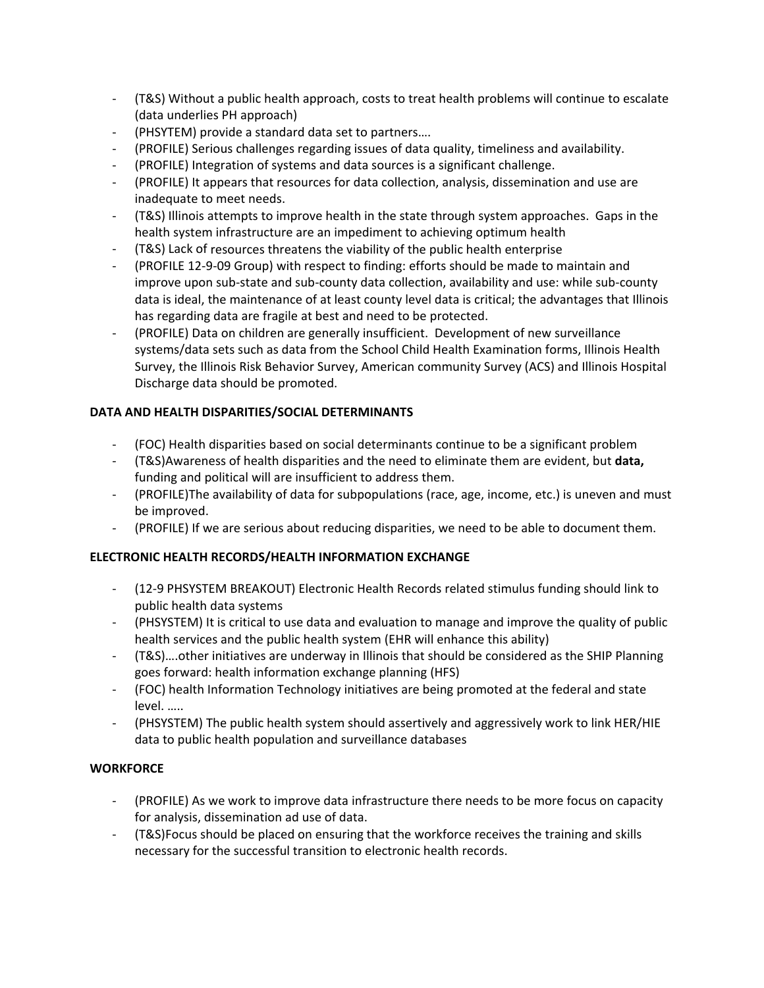- ‐ (T&S) Without a public health approach, costs to treat health problems will continue to escalate (data underlies PH approach)
- ‐ (PHSYTEM) provide a standard data set to partners….
- ‐ (PROFILE) Serious challenges regarding issues of data quality, timeliness and availability.
- ‐ (PROFILE) Integration of systems and data sources is a significant challenge.
- ‐ (PROFILE) It appears that resources for data collection, analysis, dissemination and use are inadequate to meet needs.
- ‐ (T&S) Illinois attempts to improve health in the state through system approaches. Gaps in the health system infrastructure are an impediment to achieving optimum health
- ‐ (T&S) Lack of resources threatens the viability of the public health enterprise
- ‐ (PROFILE 12‐9‐09 Group) with respect to finding: efforts should be made to maintain and improve upon sub‐state and sub‐county data collection, availability and use: while sub‐county data is ideal, the maintenance of at least county level data is critical; the advantages that Illinois has regarding data are fragile at best and need to be protected.
- ‐ (PROFILE) Data on children are generally insufficient. Development of new surveillance systems/data sets such as data from the School Child Health Examination forms, Illinois Health Survey, the Illinois Risk Behavior Survey, American community Survey (ACS) and Illinois Hospital Discharge data should be promoted.

# **DATA AND HEALTH DISPARITIES/SOCIAL DETERMINANTS**

- ‐ (FOC) Health disparities based on social determinants continue to be a significant problem
- ‐ (T&S)Awareness of health disparities and the need to eliminate them are evident, but **data,** funding and political will are insufficient to address them.
- ‐ (PROFILE)The availability of data for subpopulations (race, age, income, etc.) is uneven and must be improved.
- ‐ (PROFILE) If we are serious about reducing disparities, we need to be able to document them.

# **ELECTRONIC HEALTH RECORDS/HEALTH INFORMATION EXCHANGE**

- ‐ (12‐9 PHSYSTEM BREAKOUT) Electronic Health Records related stimulus funding should link to public health data systems
- ‐ (PHSYSTEM) It is critical to use data and evaluation to manage and improve the quality of public health services and the public health system (EHR will enhance this ability)
- ‐ (T&S)….other initiatives are underway in Illinois that should be considered as the SHIP Planning goes forward: health information exchange planning (HFS)
- ‐ (FOC) health Information Technology initiatives are being promoted at the federal and state level. …..
- ‐ (PHSYSTEM) The public health system should assertively and aggressively work to link HER/HIE data to public health population and surveillance databases

# **WORKFORCE**

- ‐ (PROFILE) As we work to improve data infrastructure there needs to be more focus on capacity for analysis, dissemination ad use of data.
- ‐ (T&S)Focus should be placed on ensuring that the workforce receives the training and skills necessary for the successful transition to electronic health records.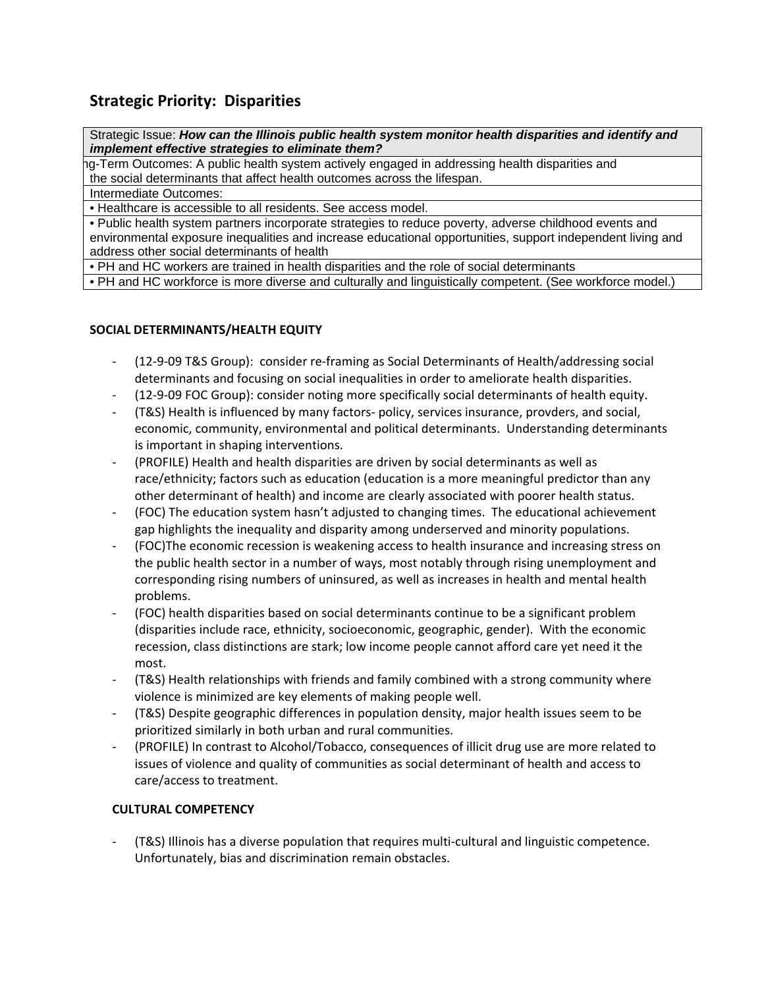# **Strategic Priority: Disparities**

Strategic Issue: *How can the Illinois public health system monitor health disparities and identify and implement effective strategies to eliminate them?* 

ng-Term Outcomes: A public health system actively engaged in addressing health disparities and the social determinants that affect health outcomes across the lifespan.

Intermediate Outcomes:

• Healthcare is accessible to all residents. See access model.

• Public health system partners incorporate strategies to reduce poverty, adverse childhood events and environmental exposure inequalities and increase educational opportunities, support independent living and address other social determinants of health

• PH and HC workers are trained in health disparities and the role of social determinants

• PH and HC workforce is more diverse and culturally and linguistically competent. (See workforce model.)

### **SOCIAL DETERMINANTS/HEALTH EQUITY**

- ‐ (12‐9‐09 T&S Group): consider re‐framing as Social Determinants of Health/addressing social determinants and focusing on social inequalities in order to ameliorate health disparities.
- ‐ (12‐9‐09 FOC Group): consider noting more specifically social determinants of health equity.
- ‐ (T&S) Health is influenced by many factors‐ policy, services insurance, provders, and social, economic, community, environmental and political determinants. Understanding determinants is important in shaping interventions.
- ‐ (PROFILE) Health and health disparities are driven by social determinants as well as race/ethnicity; factors such as education (education is a more meaningful predictor than any other determinant of health) and income are clearly associated with poorer health status.
- ‐ (FOC) The education system hasn't adjusted to changing times. The educational achievement gap highlights the inequality and disparity among underserved and minority populations.
- ‐ (FOC)The economic recession is weakening access to health insurance and increasing stress on the public health sector in a number of ways, most notably through rising unemployment and corresponding rising numbers of uninsured, as well as increases in health and mental health problems.
- ‐ (FOC) health disparities based on social determinants continue to be a significant problem (disparities include race, ethnicity, socioeconomic, geographic, gender). With the economic recession, class distinctions are stark; low income people cannot afford care yet need it the most.
- ‐ (T&S) Health relationships with friends and family combined with a strong community where violence is minimized are key elements of making people well.
- ‐ (T&S) Despite geographic differences in population density, major health issues seem to be prioritized similarly in both urban and rural communities.
- ‐ (PROFILE) In contrast to Alcohol/Tobacco, consequences of illicit drug use are more related to issues of violence and quality of communities as social determinant of health and access to care/access to treatment.

# **CULTURAL COMPETENCY**

‐ (T&S) Illinois has a diverse population that requires multi‐cultural and linguistic competence. Unfortunately, bias and discrimination remain obstacles.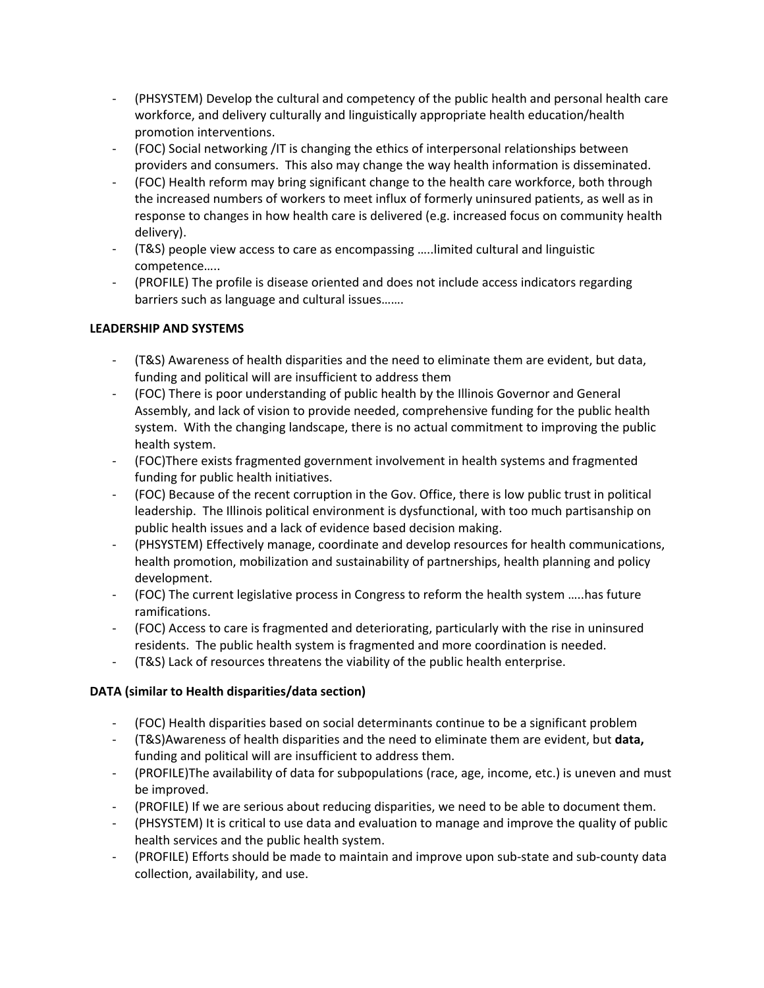- ‐ (PHSYSTEM) Develop the cultural and competency of the public health and personal health care workforce, and delivery culturally and linguistically appropriate health education/health promotion interventions.
- ‐ (FOC) Social networking /IT is changing the ethics of interpersonal relationships between providers and consumers. This also may change the way health information is disseminated.
- ‐ (FOC) Health reform may bring significant change to the health care workforce, both through the increased numbers of workers to meet influx of formerly uninsured patients, as well as in response to changes in how health care is delivered (e.g. increased focus on community health delivery).
- ‐ (T&S) people view access to care as encompassing …..limited cultural and linguistic competence…..
- ‐ (PROFILE) The profile is disease oriented and does not include access indicators regarding barriers such as language and cultural issues…….

# **LEADERSHIP AND SYSTEMS**

- ‐ (T&S) Awareness of health disparities and the need to eliminate them are evident, but data, funding and political will are insufficient to address them
- ‐ (FOC) There is poor understanding of public health by the Illinois Governor and General Assembly, and lack of vision to provide needed, comprehensive funding for the public health system. With the changing landscape, there is no actual commitment to improving the public health system.
- ‐ (FOC)There exists fragmented government involvement in health systems and fragmented funding for public health initiatives.
- ‐ (FOC) Because of the recent corruption in the Gov. Office, there is low public trust in political leadership. The Illinois political environment is dysfunctional, with too much partisanship on public health issues and a lack of evidence based decision making.
- ‐ (PHSYSTEM) Effectively manage, coordinate and develop resources for health communications, health promotion, mobilization and sustainability of partnerships, health planning and policy development.
- ‐ (FOC) The current legislative process in Congress to reform the health system …..has future ramifications.
- ‐ (FOC) Access to care is fragmented and deteriorating, particularly with the rise in uninsured residents. The public health system is fragmented and more coordination is needed.
- ‐ (T&S) Lack of resources threatens the viability of the public health enterprise.

# **DATA (similar to Health disparities/data section)**

- ‐ (FOC) Health disparities based on social determinants continue to be a significant problem
- ‐ (T&S)Awareness of health disparities and the need to eliminate them are evident, but **data,** funding and political will are insufficient to address them.
- ‐ (PROFILE)The availability of data for subpopulations (race, age, income, etc.) is uneven and must be improved.
- ‐ (PROFILE) If we are serious about reducing disparities, we need to be able to document them.
- ‐ (PHSYSTEM) It is critical to use data and evaluation to manage and improve the quality of public health services and the public health system.
- ‐ (PROFILE) Efforts should be made to maintain and improve upon sub‐state and sub‐county data collection, availability, and use.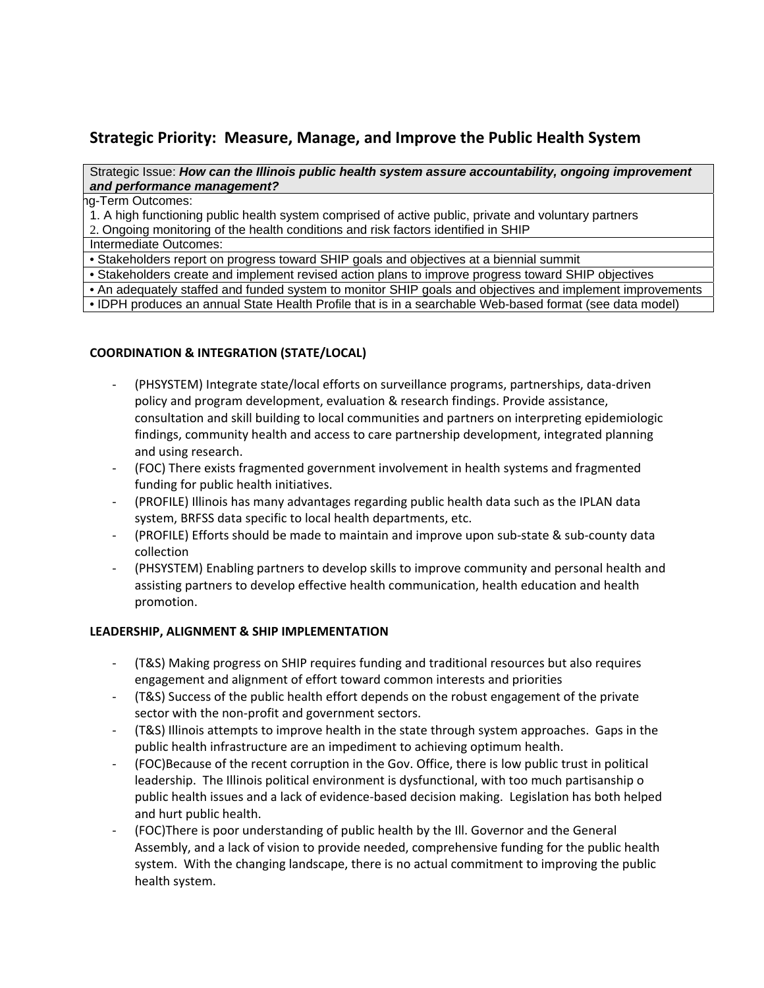# **Strategic Priority: Measure, Manage, and Improve the Public Health System**

#### Strategic Issue: *How can the Illinois public health system assure accountability, ongoing improvement and performance management?*

g-Term Outcomes:

1. A high functioning public health system comprised of active public, private and voluntary partners

2. Ongoing monitoring of the health conditions and risk factors identified in SHIP

Intermediate Outcomes:

• Stakeholders report on progress toward SHIP goals and objectives at a biennial summit

• Stakeholders create and implement revised action plans to improve progress toward SHIP objectives

• An adequately staffed and funded system to monitor SHIP goals and objectives and implement improvements

• IDPH produces an annual State Health Profile that is in a searchable Web-based format (see data model)

### **COORDINATION & INTEGRATION (STATE/LOCAL)**

- ‐ (PHSYSTEM) Integrate state/local efforts on surveillance programs, partnerships, data‐driven policy and program development, evaluation & research findings. Provide assistance, consultation and skill building to local communities and partners on interpreting epidemiologic findings, community health and access to care partnership development, integrated planning and using research.
- ‐ (FOC) There exists fragmented government involvement in health systems and fragmented funding for public health initiatives.
- ‐ (PROFILE) Illinois has many advantages regarding public health data such as the IPLAN data system, BRFSS data specific to local health departments, etc.
- ‐ (PROFILE) Efforts should be made to maintain and improve upon sub‐state & sub‐county data collection
- ‐ (PHSYSTEM) Enabling partners to develop skills to improve community and personal health and assisting partners to develop effective health communication, health education and health promotion.

# **LEADERSHIP, ALIGNMENT & SHIP IMPLEMENTATION**

- ‐ (T&S) Making progress on SHIP requires funding and traditional resources but also requires engagement and alignment of effort toward common interests and priorities
- ‐ (T&S) Success of the public health effort depends on the robust engagement of the private sector with the non-profit and government sectors.
- ‐ (T&S) Illinois attempts to improve health in the state through system approaches. Gaps in the public health infrastructure are an impediment to achieving optimum health.
- ‐ (FOC)Because of the recent corruption in the Gov. Office, there is low public trust in political leadership. The Illinois political environment is dysfunctional, with too much partisanship o public health issues and a lack of evidence‐based decision making. Legislation has both helped and hurt public health.
- ‐ (FOC)There is poor understanding of public health by the Ill. Governor and the General Assembly, and a lack of vision to provide needed, comprehensive funding for the public health system. With the changing landscape, there is no actual commitment to improving the public health system.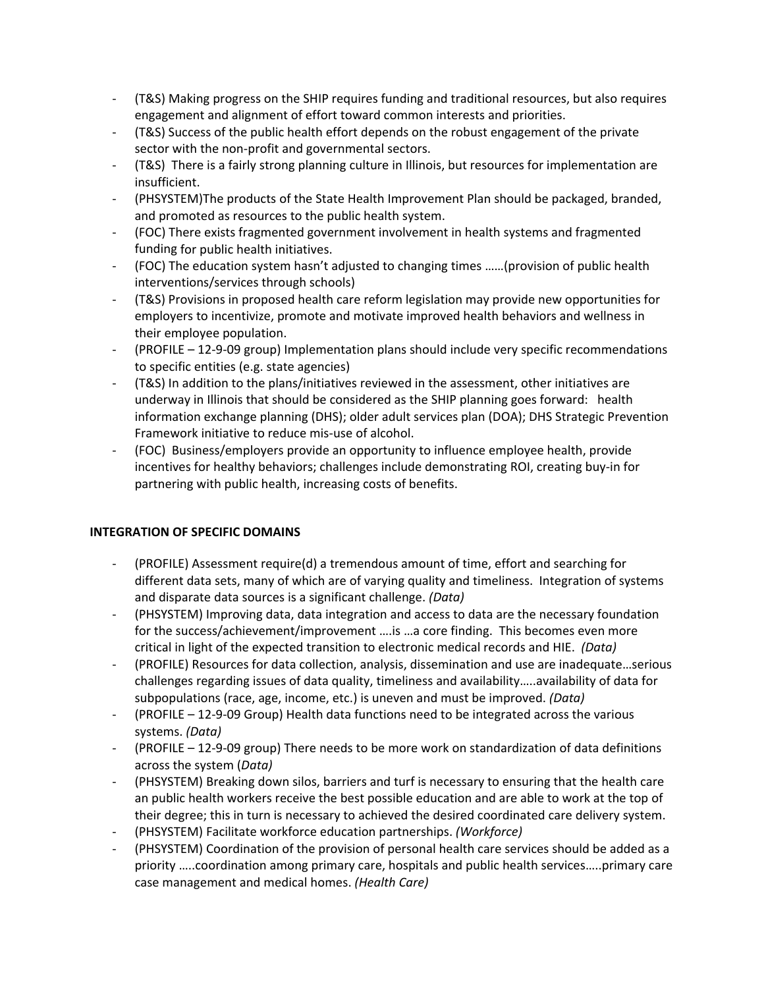- ‐ (T&S) Making progress on the SHIP requires funding and traditional resources, but also requires engagement and alignment of effort toward common interests and priorities.
- ‐ (T&S) Success of the public health effort depends on the robust engagement of the private sector with the non-profit and governmental sectors.
- ‐ (T&S) There is a fairly strong planning culture in Illinois, but resources for implementation are insufficient.
- ‐ (PHSYSTEM)The products of the State Health Improvement Plan should be packaged, branded, and promoted as resources to the public health system.
- ‐ (FOC) There exists fragmented government involvement in health systems and fragmented funding for public health initiatives.
- ‐ (FOC) The education system hasn't adjusted to changing times ……(provision of public health interventions/services through schools)
- ‐ (T&S) Provisions in proposed health care reform legislation may provide new opportunities for employers to incentivize, promote and motivate improved health behaviors and wellness in their employee population.
- ‐ (PROFILE 12‐9‐09 group) Implementation plans should include very specific recommendations to specific entities (e.g. state agencies)
- ‐ (T&S) In addition to the plans/initiatives reviewed in the assessment, other initiatives are underway in Illinois that should be considered as the SHIP planning goes forward: health information exchange planning (DHS); older adult services plan (DOA); DHS Strategic Prevention Framework initiative to reduce mis‐use of alcohol.
- ‐ (FOC) Business/employers provide an opportunity to influence employee health, provide incentives for healthy behaviors; challenges include demonstrating ROI, creating buy‐in for partnering with public health, increasing costs of benefits.

#### **INTEGRATION OF SPECIFIC DOMAINS**

- ‐ (PROFILE) Assessment require(d) a tremendous amount of time, effort and searching for different data sets, many of which are of varying quality and timeliness. Integration of systems and disparate data sources is a significant challenge. *(Data)*
- ‐ (PHSYSTEM) Improving data, data integration and access to data are the necessary foundation for the success/achievement/improvement ….is …a core finding. This becomes even more critical in light of the expected transition to electronic medical records and HIE. *(Data)*
- ‐ (PROFILE) Resources for data collection, analysis, dissemination and use are inadequate…serious challenges regarding issues of data quality, timeliness and availability…..availability of data for subpopulations (race, age, income, etc.) is uneven and must be improved. *(Data)*
- ‐ (PROFILE 12‐9‐09 Group) Health data functions need to be integrated across the various systems. *(Data)*
- ‐ (PROFILE 12‐9‐09 group) There needs to be more work on standardization of data definitions across the system (*Data)*
- ‐ (PHSYSTEM) Breaking down silos, barriers and turf is necessary to ensuring that the health care an public health workers receive the best possible education and are able to work at the top of their degree; this in turn is necessary to achieved the desired coordinated care delivery system.
- ‐ (PHSYSTEM) Facilitate workforce education partnerships. *(Workforce)*
- ‐ (PHSYSTEM) Coordination of the provision of personal health care services should be added as a priority …..coordination among primary care, hospitals and public health services…..primary care case management and medical homes. *(Health Care)*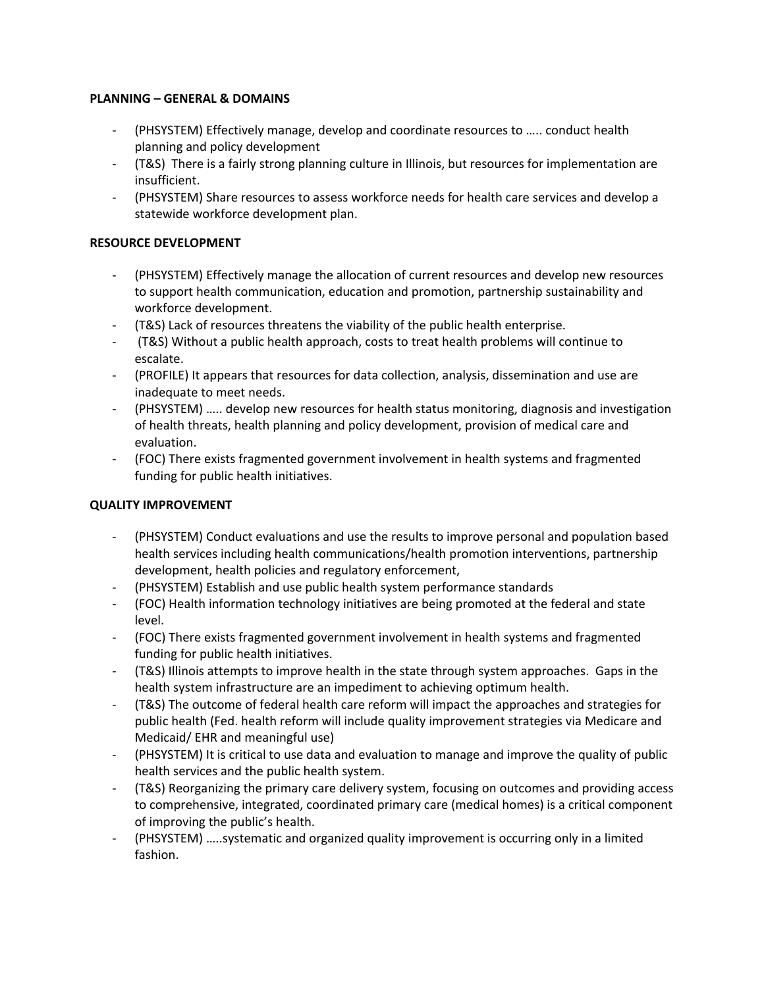#### **PLANNING – GENERAL & DOMAINS**

- ‐ (PHSYSTEM) Effectively manage, develop and coordinate resources to ….. conduct health planning and policy development
- ‐ (T&S) There is a fairly strong planning culture in Illinois, but resources for implementation are insufficient.
- ‐ (PHSYSTEM) Share resources to assess workforce needs for health care services and develop a statewide workforce development plan.

### **RESOURCE DEVELOPMENT**

- ‐ (PHSYSTEM) Effectively manage the allocation of current resources and develop new resources to support health communication, education and promotion, partnership sustainability and workforce development.
- ‐ (T&S) Lack of resources threatens the viability of the public health enterprise.
- ‐ (T&S) Without a public health approach, costs to treat health problems will continue to escalate.
- ‐ (PROFILE) It appears that resources for data collection, analysis, dissemination and use are inadequate to meet needs.
- ‐ (PHSYSTEM) ….. develop new resources for health status monitoring, diagnosis and investigation of health threats, health planning and policy development, provision of medical care and evaluation.
- ‐ (FOC) There exists fragmented government involvement in health systems and fragmented funding for public health initiatives.

#### **QUALITY IMPROVEMENT**

- ‐ (PHSYSTEM) Conduct evaluations and use the results to improve personal and population based health services including health communications/health promotion interventions, partnership development, health policies and regulatory enforcement,
- ‐ (PHSYSTEM) Establish and use public health system performance standards
- ‐ (FOC) Health information technology initiatives are being promoted at the federal and state level.
- ‐ (FOC) There exists fragmented government involvement in health systems and fragmented funding for public health initiatives.
- ‐ (T&S) Illinois attempts to improve health in the state through system approaches. Gaps in the health system infrastructure are an impediment to achieving optimum health.
- ‐ (T&S) The outcome of federal health care reform will impact the approaches and strategies for public health (Fed. health reform will include quality improvement strategies via Medicare and Medicaid/ EHR and meaningful use)
- ‐ (PHSYSTEM) It is critical to use data and evaluation to manage and improve the quality of public health services and the public health system.
- ‐ (T&S) Reorganizing the primary care delivery system, focusing on outcomes and providing access to comprehensive, integrated, coordinated primary care (medical homes) is a critical component of improving the public's health.
- ‐ (PHSYSTEM) …..systematic and organized quality improvement is occurring only in a limited fashion.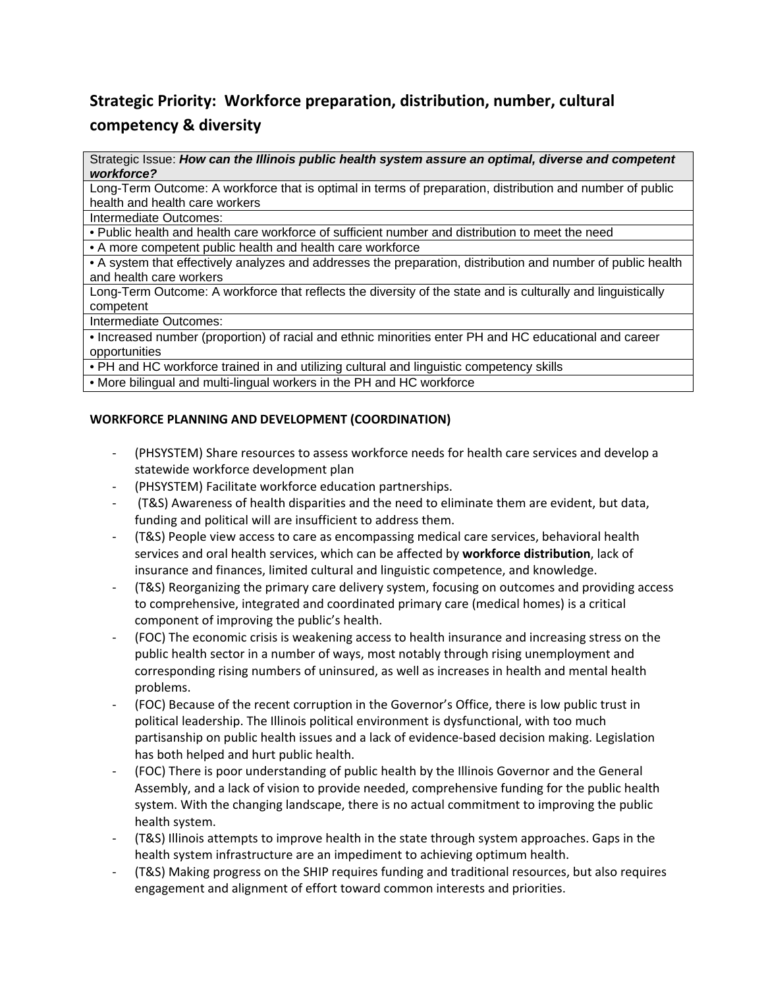# **Strategic Priority: Workforce preparation, distribution, number, cultural competency & diversity**

Strategic Issue: *How can the Illinois public health system assure an optimal, diverse and competent workforce?* 

Long-Term Outcome: A workforce that is optimal in terms of preparation, distribution and number of public health and health care workers

Intermediate Outcomes:

• Public health and health care workforce of sufficient number and distribution to meet the need

• A more competent public health and health care workforce

• A system that effectively analyzes and addresses the preparation, distribution and number of public health and health care workers

Long-Term Outcome: A workforce that reflects the diversity of the state and is culturally and linguistically competent

Intermediate Outcomes:

• Increased number (proportion) of racial and ethnic minorities enter PH and HC educational and career opportunities

• PH and HC workforce trained in and utilizing cultural and linguistic competency skills

• More bilingual and multi-lingual workers in the PH and HC workforce

### **WORKFORCE PLANNING AND DEVELOPMENT (COORDINATION)**

- ‐ (PHSYSTEM) Share resources to assess workforce needs for health care services and develop a statewide workforce development plan
- ‐ (PHSYSTEM) Facilitate workforce education partnerships.
- ‐ (T&S) Awareness of health disparities and the need to eliminate them are evident, but data, funding and political will are insufficient to address them.
- ‐ (T&S) People view access to care as encompassing medical care services, behavioral health services and oral health services, which can be affected by **workforce distribution**, lack of insurance and finances, limited cultural and linguistic competence, and knowledge.
- ‐ (T&S) Reorganizing the primary care delivery system, focusing on outcomes and providing access to comprehensive, integrated and coordinated primary care (medical homes) is a critical component of improving the public's health.
- ‐ (FOC) The economic crisis is weakening access to health insurance and increasing stress on the public health sector in a number of ways, most notably through rising unemployment and corresponding rising numbers of uninsured, as well as increases in health and mental health problems.
- ‐ (FOC) Because of the recent corruption in the Governor's Office, there is low public trust in political leadership. The Illinois political environment is dysfunctional, with too much partisanship on public health issues and a lack of evidence‐based decision making. Legislation has both helped and hurt public health.
- ‐ (FOC) There is poor understanding of public health by the Illinois Governor and the General Assembly, and a lack of vision to provide needed, comprehensive funding for the public health system. With the changing landscape, there is no actual commitment to improving the public health system.
- ‐ (T&S) Illinois attempts to improve health in the state through system approaches. Gaps in the health system infrastructure are an impediment to achieving optimum health.
- ‐ (T&S) Making progress on the SHIP requires funding and traditional resources, but also requires engagement and alignment of effort toward common interests and priorities.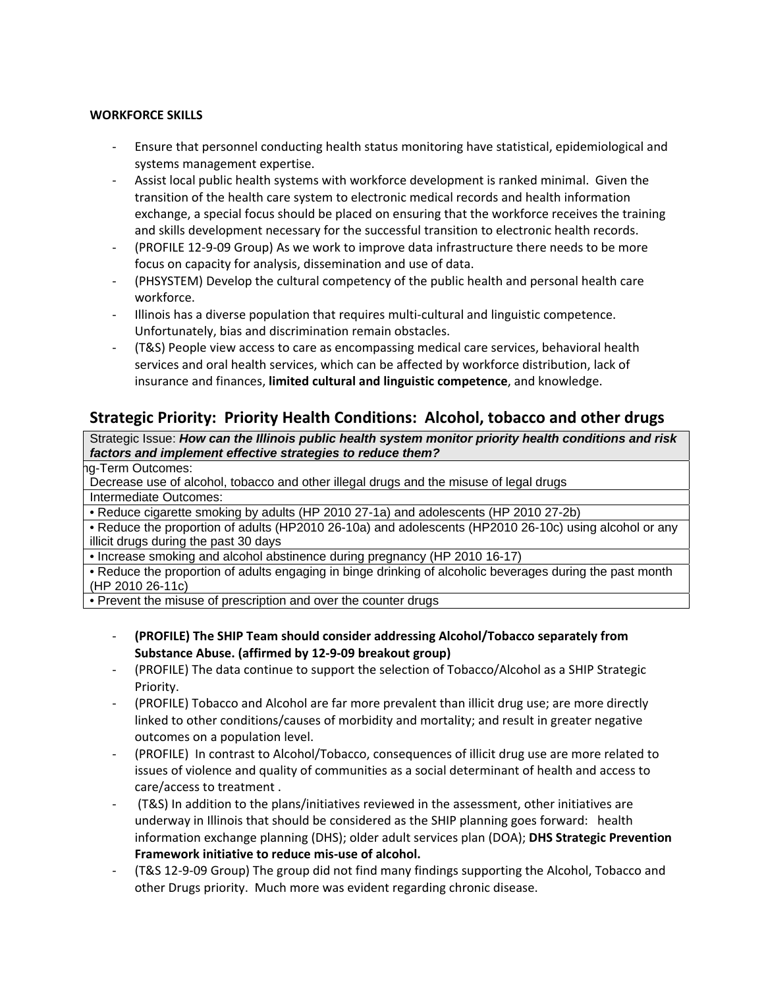#### **WORKFORCE SKILLS**

- ‐ Ensure that personnel conducting health status monitoring have statistical, epidemiological and systems management expertise.
- ‐ Assist local public health systems with workforce development is ranked minimal. Given the transition of the health care system to electronic medical records and health information exchange, a special focus should be placed on ensuring that the workforce receives the training and skills development necessary for the successful transition to electronic health records.
- ‐ (PROFILE 12‐9‐09 Group) As we work to improve data infrastructure there needs to be more focus on capacity for analysis, dissemination and use of data.
- ‐ (PHSYSTEM) Develop the cultural competency of the public health and personal health care workforce.
- ‐ Illinois has a diverse population that requires multi‐cultural and linguistic competence. Unfortunately, bias and discrimination remain obstacles.
- ‐ (T&S) People view access to care as encompassing medical care services, behavioral health services and oral health services, which can be affected by workforce distribution, lack of insurance and finances, **limited cultural and linguistic competence**, and knowledge.

# **Strategic Priority: Priority Health Conditions: Alcohol, tobacco and other drugs**

Strategic Issue: *How can the Illinois public health system monitor priority health conditions and risk factors and implement effective strategies to reduce them?* 

g-Term Outcomes:

Decrease use of alcohol, tobacco and other illegal drugs and the misuse of legal drugs Intermediate Outcomes:

• Reduce cigarette smoking by adults (HP 2010 27-1a) and adolescents (HP 2010 27-2b)

• Reduce the proportion of adults (HP2010 26-10a) and adolescents (HP2010 26-10c) using alcohol or any illicit drugs during the past 30 days

• Increase smoking and alcohol abstinence during pregnancy (HP 2010 16-17)

• Reduce the proportion of adults engaging in binge drinking of alcoholic beverages during the past month (HP 2010 26-11c)

• Prevent the misuse of prescription and over the counter drugs

- ‐ **(PROFILE) The SHIP Team should consider addressing Alcohol/Tobacco separately from Substance Abuse. (affirmed by 12‐9‐09 breakout group)**
- ‐ (PROFILE) The data continue to support the selection of Tobacco/Alcohol as a SHIP Strategic Priority.
- ‐ (PROFILE) Tobacco and Alcohol are far more prevalent than illicit drug use; are more directly linked to other conditions/causes of morbidity and mortality; and result in greater negative outcomes on a population level.
- ‐ (PROFILE) In contrast to Alcohol/Tobacco, consequences of illicit drug use are more related to issues of violence and quality of communities as a social determinant of health and access to care/access to treatment .
- ‐ (T&S) In addition to the plans/initiatives reviewed in the assessment, other initiatives are underway in Illinois that should be considered as the SHIP planning goes forward: health information exchange planning (DHS); older adult services plan (DOA); **DHS Strategic Prevention Framework initiative to reduce mis‐use of alcohol.**
- ‐ (T&S 12‐9‐09 Group) The group did not find many findings supporting the Alcohol, Tobacco and other Drugs priority. Much more was evident regarding chronic disease.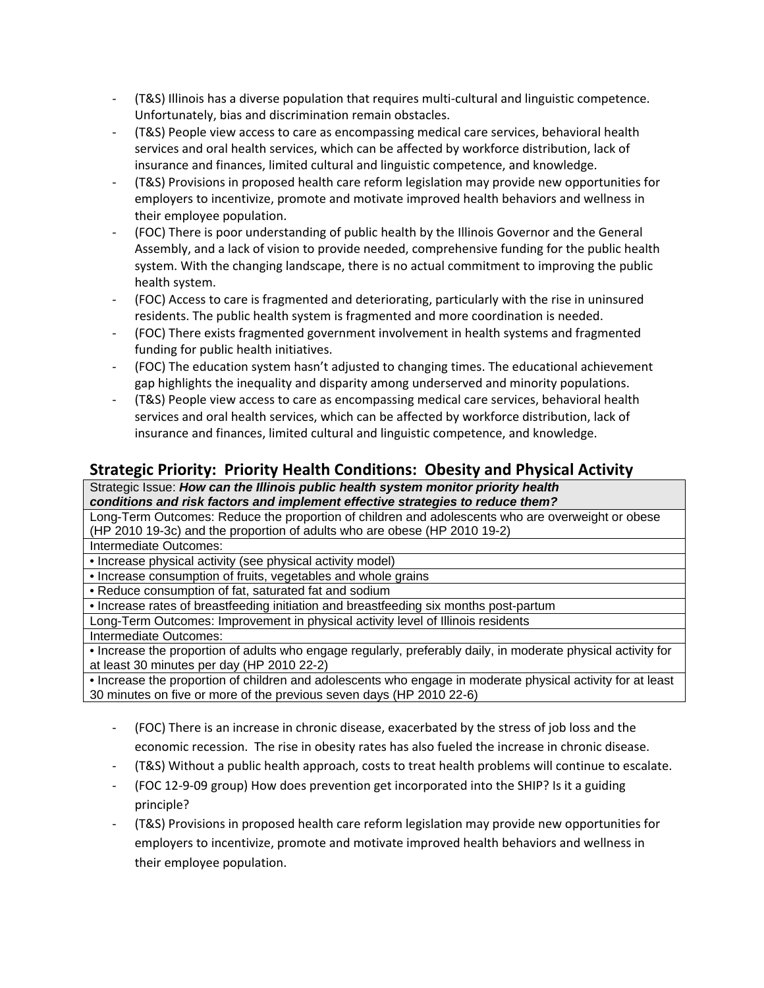- ‐ (T&S) Illinois has a diverse population that requires multi‐cultural and linguistic competence. Unfortunately, bias and discrimination remain obstacles.
- ‐ (T&S) People view access to care as encompassing medical care services, behavioral health services and oral health services, which can be affected by workforce distribution, lack of insurance and finances, limited cultural and linguistic competence, and knowledge.
- ‐ (T&S) Provisions in proposed health care reform legislation may provide new opportunities for employers to incentivize, promote and motivate improved health behaviors and wellness in their employee population.
- ‐ (FOC) There is poor understanding of public health by the Illinois Governor and the General Assembly, and a lack of vision to provide needed, comprehensive funding for the public health system. With the changing landscape, there is no actual commitment to improving the public health system.
- ‐ (FOC) Access to care is fragmented and deteriorating, particularly with the rise in uninsured residents. The public health system is fragmented and more coordination is needed.
- ‐ (FOC) There exists fragmented government involvement in health systems and fragmented funding for public health initiatives.
- ‐ (FOC) The education system hasn't adjusted to changing times. The educational achievement gap highlights the inequality and disparity among underserved and minority populations.
- ‐ (T&S) People view access to care as encompassing medical care services, behavioral health services and oral health services, which can be affected by workforce distribution, lack of insurance and finances, limited cultural and linguistic competence, and knowledge.

# **Strategic Priority: Priority Health Conditions: Obesity and Physical Activity**

Strategic Issue: *How can the Illinois public health system monitor priority health conditions and risk factors and implement effective strategies to reduce them?* 

Long-Term Outcomes: Reduce the proportion of children and adolescents who are overweight or obese (HP 2010 19-3c) and the proportion of adults who are obese (HP 2010 19-2)

Intermediate Outcomes:

• Increase physical activity (see physical activity model)

• Increase consumption of fruits, vegetables and whole grains

• Reduce consumption of fat, saturated fat and sodium

• Increase rates of breastfeeding initiation and breastfeeding six months post-partum

Long-Term Outcomes: Improvement in physical activity level of Illinois residents

#### Intermediate Outcomes:

• Increase the proportion of adults who engage regularly, preferably daily, in moderate physical activity for at least 30 minutes per day (HP 2010 22-2)

• Increase the proportion of children and adolescents who engage in moderate physical activity for at least 30 minutes on five or more of the previous seven days (HP 2010 22-6)

- ‐ (FOC) There is an increase in chronic disease, exacerbated by the stress of job loss and the economic recession. The rise in obesity rates has also fueled the increase in chronic disease.
- ‐ (T&S) Without a public health approach, costs to treat health problems will continue to escalate.
- ‐ (FOC 12‐9‐09 group) How does prevention get incorporated into the SHIP? Is it a guiding principle?
- ‐ (T&S) Provisions in proposed health care reform legislation may provide new opportunities for employers to incentivize, promote and motivate improved health behaviors and wellness in their employee population.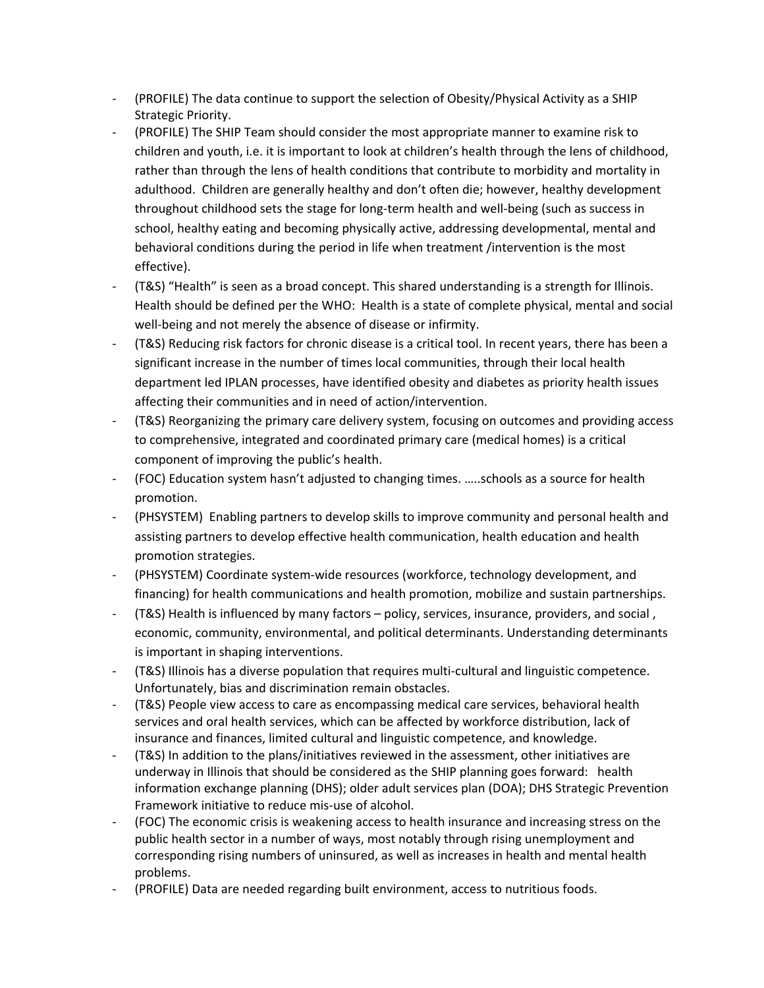- ‐ (PROFILE) The data continue to support the selection of Obesity/Physical Activity as a SHIP Strategic Priority.
- ‐ (PROFILE) The SHIP Team should consider the most appropriate manner to examine risk to children and youth, i.e. it is important to look at children's health through the lens of childhood, rather than through the lens of health conditions that contribute to morbidity and mortality in adulthood. Children are generally healthy and don't often die; however, healthy development throughout childhood sets the stage for long‐term health and well‐being (such as success in school, healthy eating and becoming physically active, addressing developmental, mental and behavioral conditions during the period in life when treatment /intervention is the most effective).
- ‐ (T&S) "Health" is seen as a broad concept. This shared understanding is a strength for Illinois. Health should be defined per the WHO: Health is a state of complete physical, mental and social well-being and not merely the absence of disease or infirmity.
- ‐ (T&S) Reducing risk factors for chronic disease is a critical tool. In recent years, there has been a significant increase in the number of times local communities, through their local health department led IPLAN processes, have identified obesity and diabetes as priority health issues affecting their communities and in need of action/intervention.
- ‐ (T&S) Reorganizing the primary care delivery system, focusing on outcomes and providing access to comprehensive, integrated and coordinated primary care (medical homes) is a critical component of improving the public's health.
- ‐ (FOC) Education system hasn't adjusted to changing times. …..schools as a source for health promotion.
- ‐ (PHSYSTEM) Enabling partners to develop skills to improve community and personal health and assisting partners to develop effective health communication, health education and health promotion strategies.
- ‐ (PHSYSTEM) Coordinate system‐wide resources (workforce, technology development, and financing) for health communications and health promotion, mobilize and sustain partnerships.
- ‐ (T&S) Health is influenced by many factors policy, services, insurance, providers, and social , economic, community, environmental, and political determinants. Understanding determinants is important in shaping interventions.
- ‐ (T&S) Illinois has a diverse population that requires multi‐cultural and linguistic competence. Unfortunately, bias and discrimination remain obstacles.
- ‐ (T&S) People view access to care as encompassing medical care services, behavioral health services and oral health services, which can be affected by workforce distribution, lack of insurance and finances, limited cultural and linguistic competence, and knowledge.
- ‐ (T&S) In addition to the plans/initiatives reviewed in the assessment, other initiatives are underway in Illinois that should be considered as the SHIP planning goes forward: health information exchange planning (DHS); older adult services plan (DOA); DHS Strategic Prevention Framework initiative to reduce mis‐use of alcohol.
- ‐ (FOC) The economic crisis is weakening access to health insurance and increasing stress on the public health sector in a number of ways, most notably through rising unemployment and corresponding rising numbers of uninsured, as well as increases in health and mental health problems.
- ‐ (PROFILE) Data are needed regarding built environment, access to nutritious foods.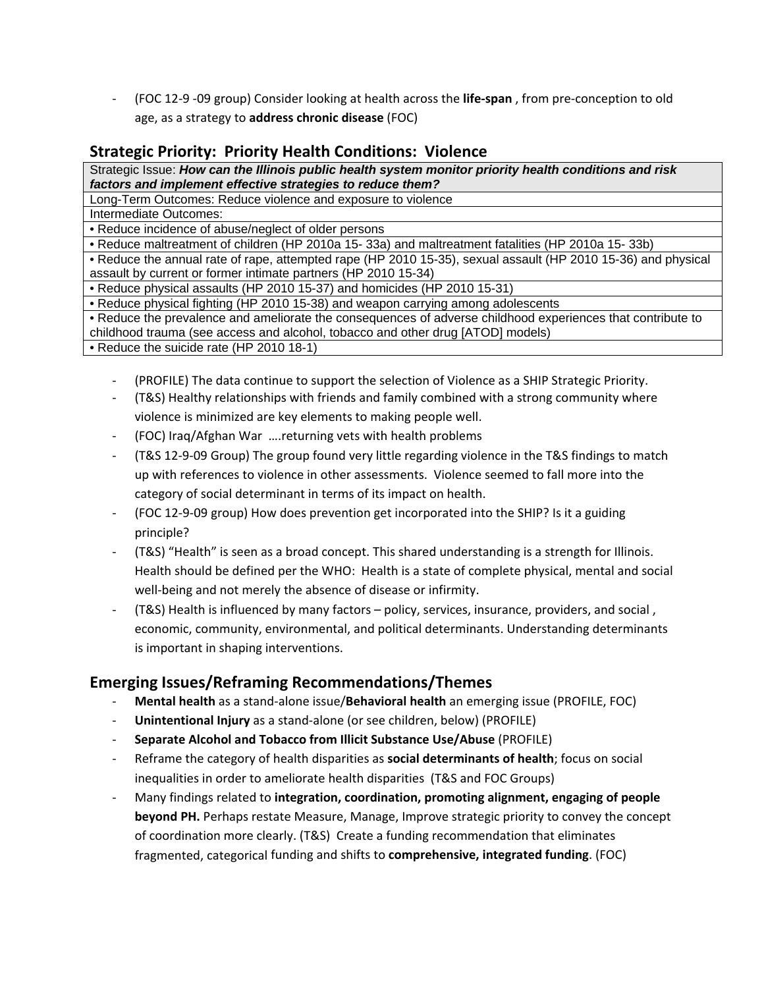‐ (FOC 12‐9 ‐09 group) Consider looking at health across the **life‐span** , from pre‐conception to old age, as a strategy to **address chronic disease** (FOC)

# **Strategic Priority: Priority Health Conditions: Violence**

Strategic Issue: *How can the Illinois public health system monitor priority health conditions and risk factors and implement effective strategies to reduce them?* 

Long-Term Outcomes: Reduce violence and exposure to violence Intermediate Outcomes:

• Reduce incidence of abuse/neglect of older persons

• Reduce maltreatment of children (HP 2010a 15- 33a) and maltreatment fatalities (HP 2010a 15- 33b)

• Reduce the annual rate of rape, attempted rape (HP 2010 15-35), sexual assault (HP 2010 15-36) and physical assault by current or former intimate partners (HP 2010 15-34)

• Reduce physical assaults (HP 2010 15-37) and homicides (HP 2010 15-31)

• Reduce physical fighting (HP 2010 15-38) and weapon carrying among adolescents

• Reduce the prevalence and ameliorate the consequences of adverse childhood experiences that contribute to childhood trauma (see access and alcohol, tobacco and other drug [ATOD] models)

• Reduce the suicide rate (HP 2010 18-1)

- ‐ (PROFILE) The data continue to support the selection of Violence as a SHIP Strategic Priority.
- ‐ (T&S) Healthy relationships with friends and family combined with a strong community where violence is minimized are key elements to making people well.
- ‐ (FOC) Iraq/Afghan War ….returning vets with health problems
- ‐ (T&S 12‐9‐09 Group) The group found very little regarding violence in the T&S findings to match up with references to violence in other assessments. Violence seemed to fall more into the category of social determinant in terms of its impact on health.
- ‐ (FOC 12‐9‐09 group) How does prevention get incorporated into the SHIP? Is it a guiding principle?
- ‐ (T&S) "Health" is seen as a broad concept. This shared understanding is a strength for Illinois. Health should be defined per the WHO: Health is a state of complete physical, mental and social well-being and not merely the absence of disease or infirmity.
- ‐ (T&S) Health is influenced by many factors policy, services, insurance, providers, and social , economic, community, environmental, and political determinants. Understanding determinants is important in shaping interventions.

# **Emerging Issues/Reframing Recommendations/Themes**

- ‐ **Mental health** as a stand‐alone issue/**Behavioral health** an emerging issue (PROFILE, FOC)
- ‐ **Unintentional Injury** as a stand‐alone (or see children, below) (PROFILE)
- ‐ **Separate Alcohol and Tobacco from Illicit Substance Use/Abuse** (PROFILE)
- ‐ Reframe the category of health disparities as **social determinants of health**; focus on social inequalities in order to ameliorate health disparities (T&S and FOC Groups)
- ‐ Many findings related to **integration, coordination, promoting alignment, engaging of people beyond PH.** Perhaps restate Measure, Manage, Improve strategic priority to convey the concept of coordination more clearly. (T&S) Create a funding recommendation that eliminates fragmented, categorical funding and shifts to **comprehensive, integrated funding**. (FOC)